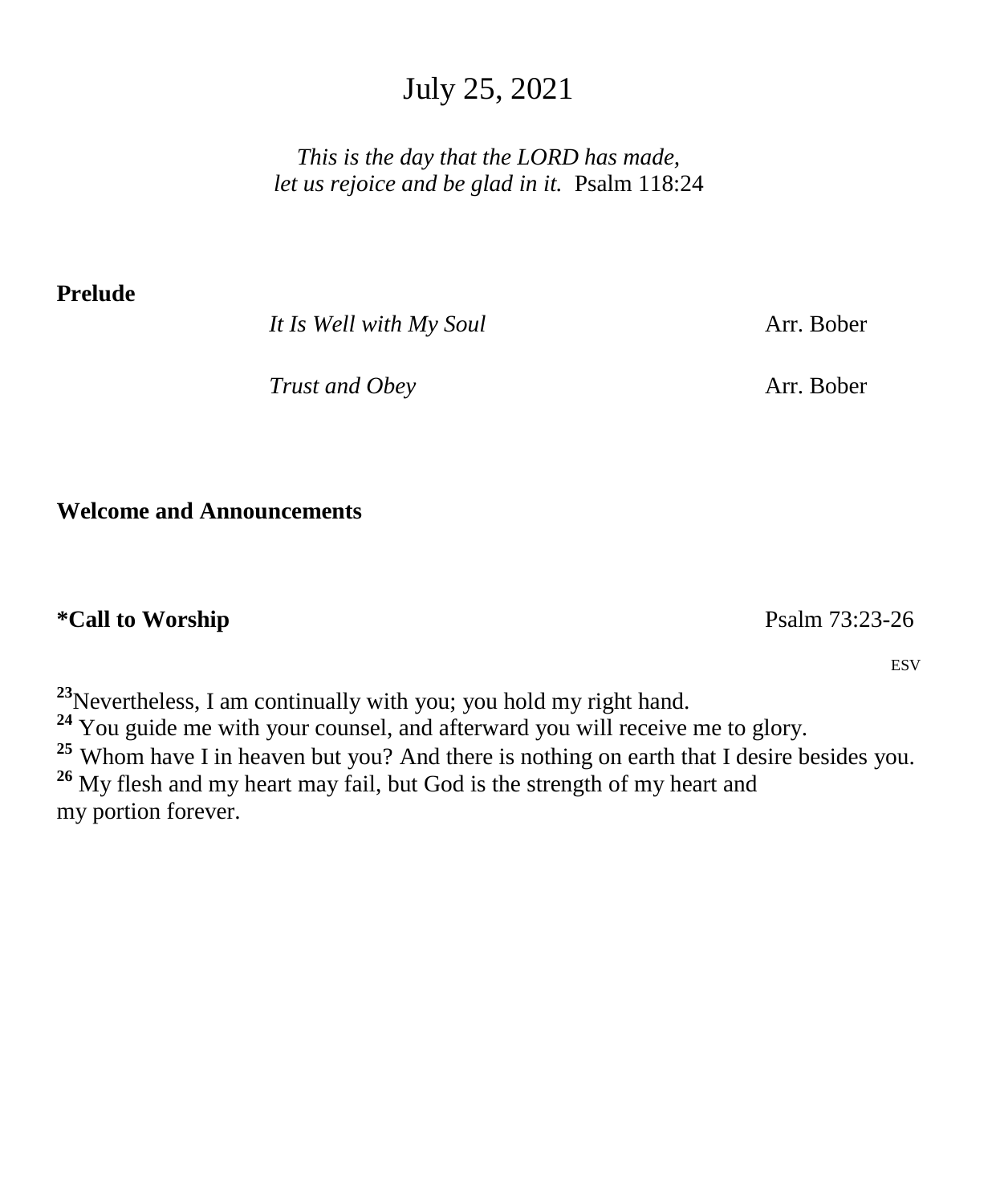# July 25, 2021

*This is the day that the LORD has made, let us rejoice and be glad in it.* Psalm 118:24

**Prelude** 

*It Is Well with My Soul* **Arr. Bober** 

*Trust and Obey* Arr. Bober

**Welcome and Announcements**

**\*Call to Worship** Psalm 73:23-26

ESV

**<sup>23</sup>**Nevertheless, I am continually with you; you hold my right hand. <sup>24</sup> You guide me with your counsel, and afterward you will receive me to glory. <sup>25</sup> Whom have I in heaven but you? And there is nothing on earth that I desire besides you. **<sup>26</sup>** My flesh and my heart may fail, but God is the strength of my heart and my portion forever.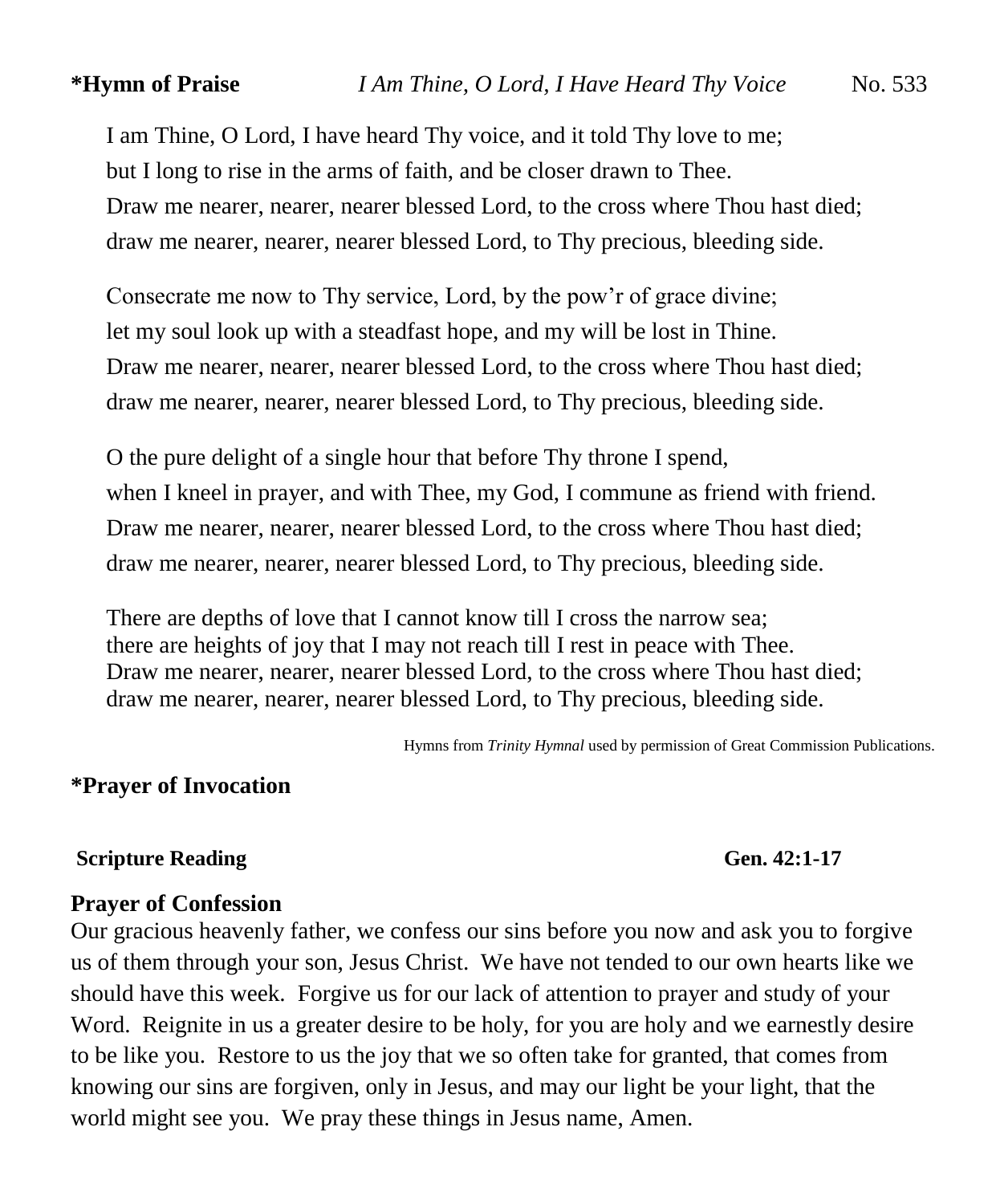I am Thine, O Lord, I have heard Thy voice, and it told Thy love to me; but I long to rise in the arms of faith, and be closer drawn to Thee. Draw me nearer, nearer, nearer blessed Lord, to the cross where Thou hast died; draw me nearer, nearer, nearer blessed Lord, to Thy precious, bleeding side.

Consecrate me now to Thy service, Lord, by the pow'r of grace divine; let my soul look up with a steadfast hope, and my will be lost in Thine. Draw me nearer, nearer, nearer blessed Lord, to the cross where Thou hast died; draw me nearer, nearer, nearer blessed Lord, to Thy precious, bleeding side.

O the pure delight of a single hour that before Thy throne I spend, when I kneel in prayer, and with Thee, my God, I commune as friend with friend. Draw me nearer, nearer, nearer blessed Lord, to the cross where Thou hast died; draw me nearer, nearer, nearer blessed Lord, to Thy precious, bleeding side.

There are depths of love that I cannot know till I cross the narrow sea; there are heights of joy that I may not reach till I rest in peace with Thee. Draw me nearer, nearer, nearer blessed Lord, to the cross where Thou hast died; draw me nearer, nearer, nearer blessed Lord, to Thy precious, bleeding side.

Hymns from *Trinity Hymnal* used by permission of Great Commission Publications.

## **\*Prayer of Invocation**

#### **Scripture Reading Gen. 42:1-17**

#### **Prayer of Confession**

Our gracious heavenly father, we confess our sins before you now and ask you to forgive us of them through your son, Jesus Christ. We have not tended to our own hearts like we should have this week. Forgive us for our lack of attention to prayer and study of your Word. Reignite in us a greater desire to be holy, for you are holy and we earnestly desire to be like you. Restore to us the joy that we so often take for granted, that comes from knowing our sins are forgiven, only in Jesus, and may our light be your light, that the world might see you. We pray these things in Jesus name, Amen.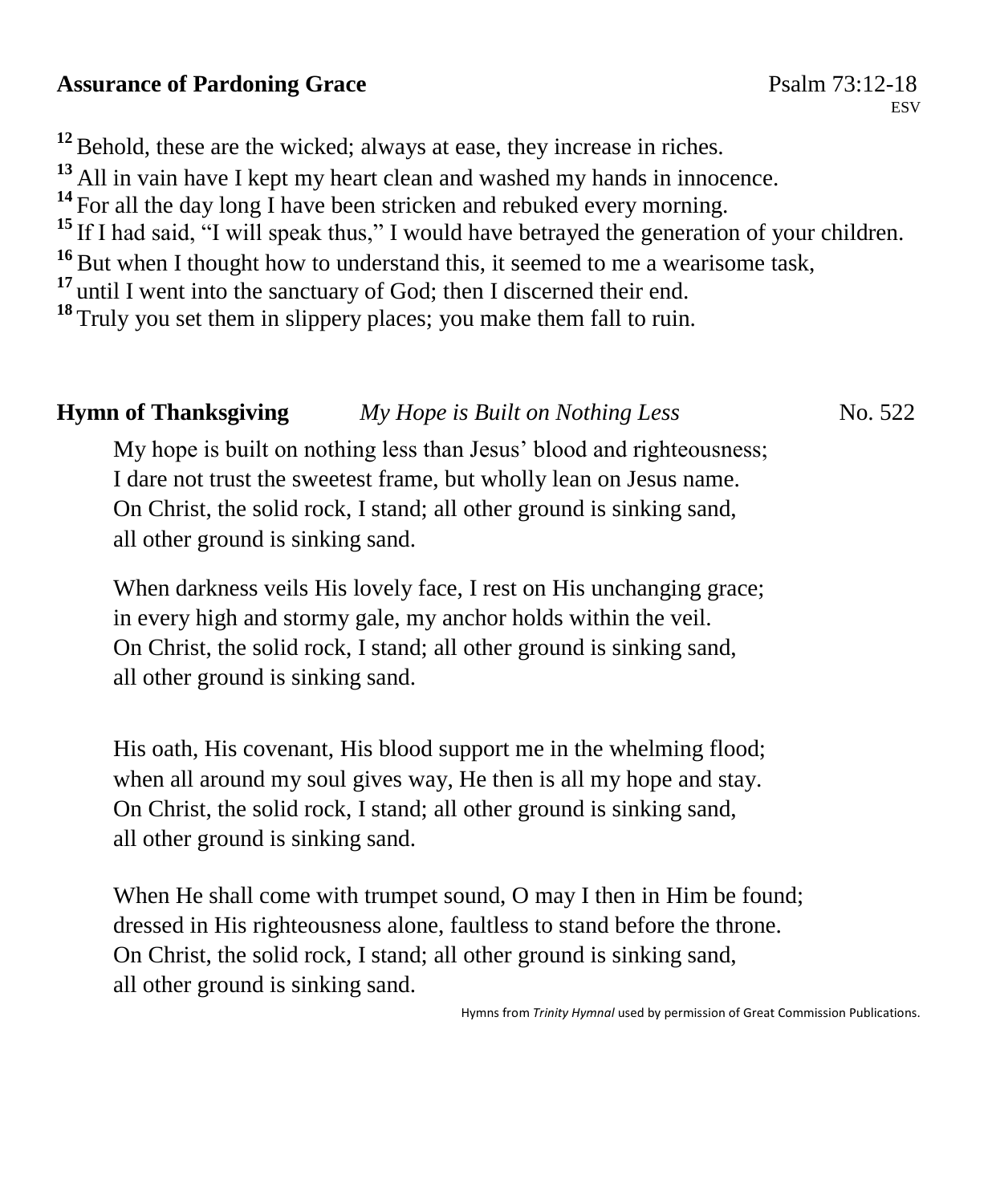### Assurance of Pardoning Grace **Particle 120 and Psalm 73:12-18** Psalm 73:12-18

<sup>12</sup> Behold, these are the wicked; always at ease, they increase in riches. **<sup>13</sup>** All in vain have I kept my heart clean and washed my hands in innocence. <sup>14</sup> For all the day long I have been stricken and rebuked every morning. <sup>15</sup> If I had said, "I will speak thus," I would have betrayed the generation of your children. **<sup>16</sup>** But when I thought how to understand this, it seemed to me a wearisome task, <sup>17</sup> until I went into the sanctuary of God; then I discerned their end. <sup>18</sup> Truly you set them in slippery places; you make them fall to ruin.

# **Hymn of Thanksgiving** *My Hope is Built on Nothing Less* No. 522

My hope is built on nothing less than Jesus' blood and righteousness; I dare not trust the sweetest frame, but wholly lean on Jesus name. On Christ, the solid rock, I stand; all other ground is sinking sand, all other ground is sinking sand.

When darkness veils His lovely face, I rest on His unchanging grace; in every high and stormy gale, my anchor holds within the veil. On Christ, the solid rock, I stand; all other ground is sinking sand, all other ground is sinking sand.

His oath, His covenant, His blood support me in the whelming flood; when all around my soul gives way, He then is all my hope and stay. On Christ, the solid rock, I stand; all other ground is sinking sand, all other ground is sinking sand.

When He shall come with trumpet sound, O may I then in Him be found; dressed in His righteousness alone, faultless to stand before the throne. On Christ, the solid rock, I stand; all other ground is sinking sand, all other ground is sinking sand.

Hymns from *Trinity Hymnal* used by permission of Great Commission Publications.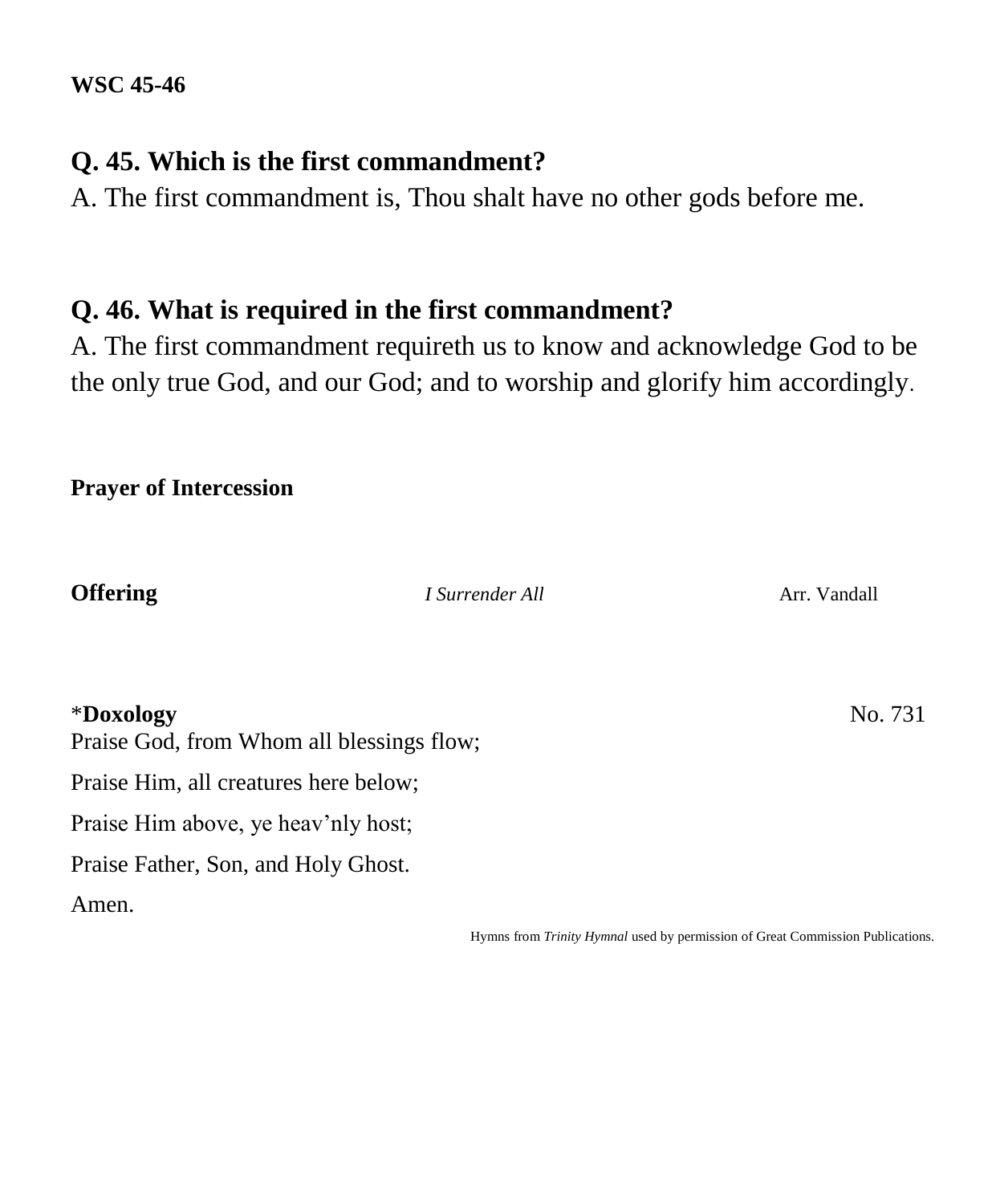# **Q. 45. Which is the first commandment?**

A. The first commandment is, Thou shalt have no other gods before me.

# **Q. 46. What is required in the first commandment?**

A. The first commandment requireth us to know and acknowledge God to be the only true God, and our God; and to worship and glorify him accordingly.

## **Prayer of Intercession**

**Offering** *I Surrender All Arr. Vandall* 

\***Doxology** No. 731

Praise God, from Whom all blessings flow;

Praise Him, all creatures here below;

Praise Him above, ye heav'nly host;

Praise Father, Son, and Holy Ghost.

Amen.

Hymns from *Trinity Hymnal* used by permission of Great Commission Publications.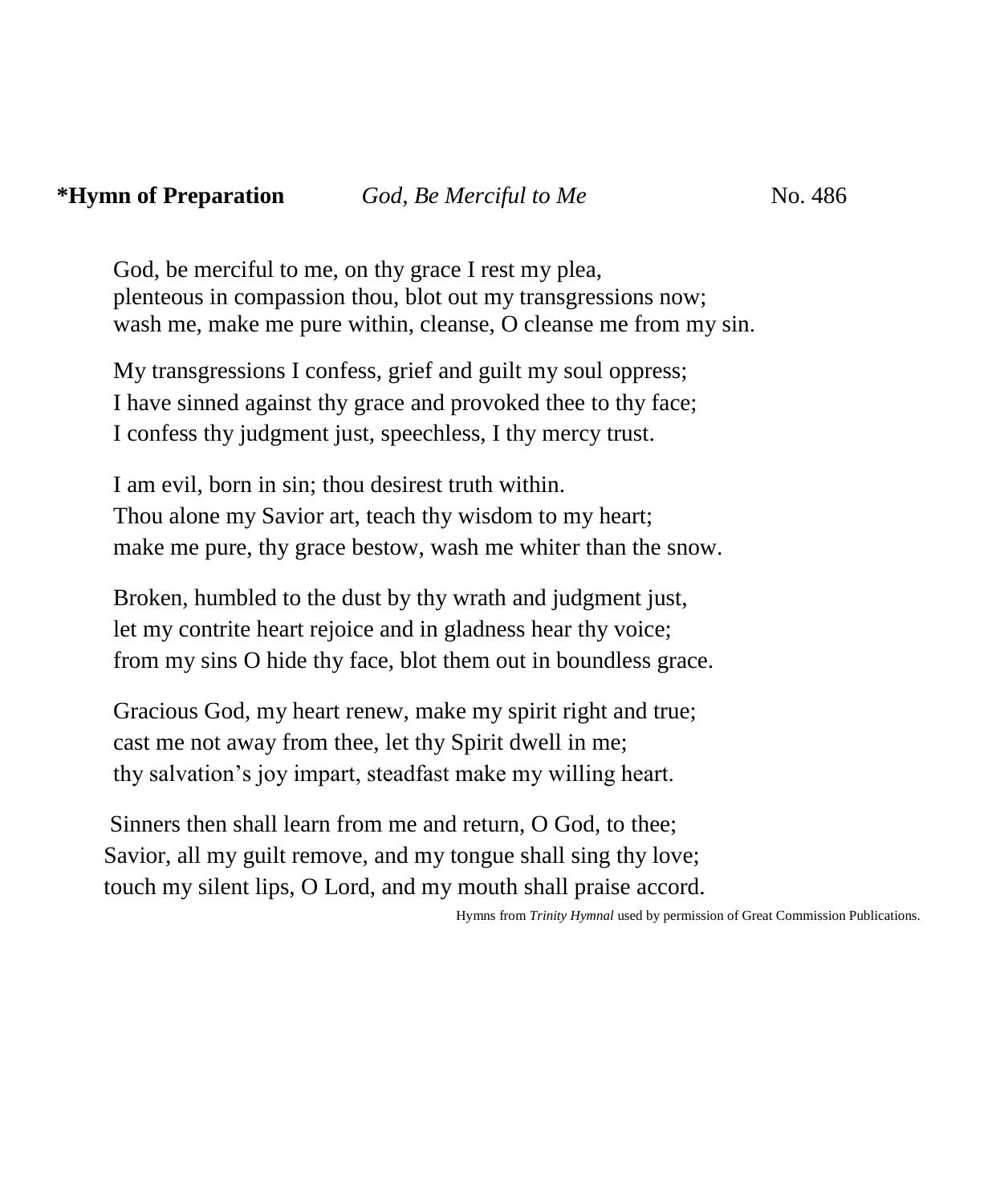### **\*Hymn of Preparation** *God, Be Merciful to Me* **No. 486**

God, be merciful to me, on thy grace I rest my plea, plenteous in compassion thou, blot out my transgressions now; wash me, make me pure within, cleanse, O cleanse me from my sin.

My transgressions I confess, grief and guilt my soul oppress; I have sinned against thy grace and provoked thee to thy face; I confess thy judgment just, speechless, I thy mercy trust.

I am evil, born in sin; thou desirest truth within. Thou alone my Savior art, teach thy wisdom to my heart; make me pure, thy grace bestow, wash me whiter than the snow.

Broken, humbled to the dust by thy wrath and judgment just, let my contrite heart rejoice and in gladness hear thy voice; from my sins O hide thy face, blot them out in boundless grace.

Gracious God, my heart renew, make my spirit right and true; cast me not away from thee, let thy Spirit dwell in me; thy salvation's joy impart, steadfast make my willing heart.

 Sinners then shall learn from me and return, O God, to thee; Savior, all my guilt remove, and my tongue shall sing thy love; touch my silent lips, O Lord, and my mouth shall praise accord.

Hymns from *Trinity Hymnal* used by permission of Great Commission Publications.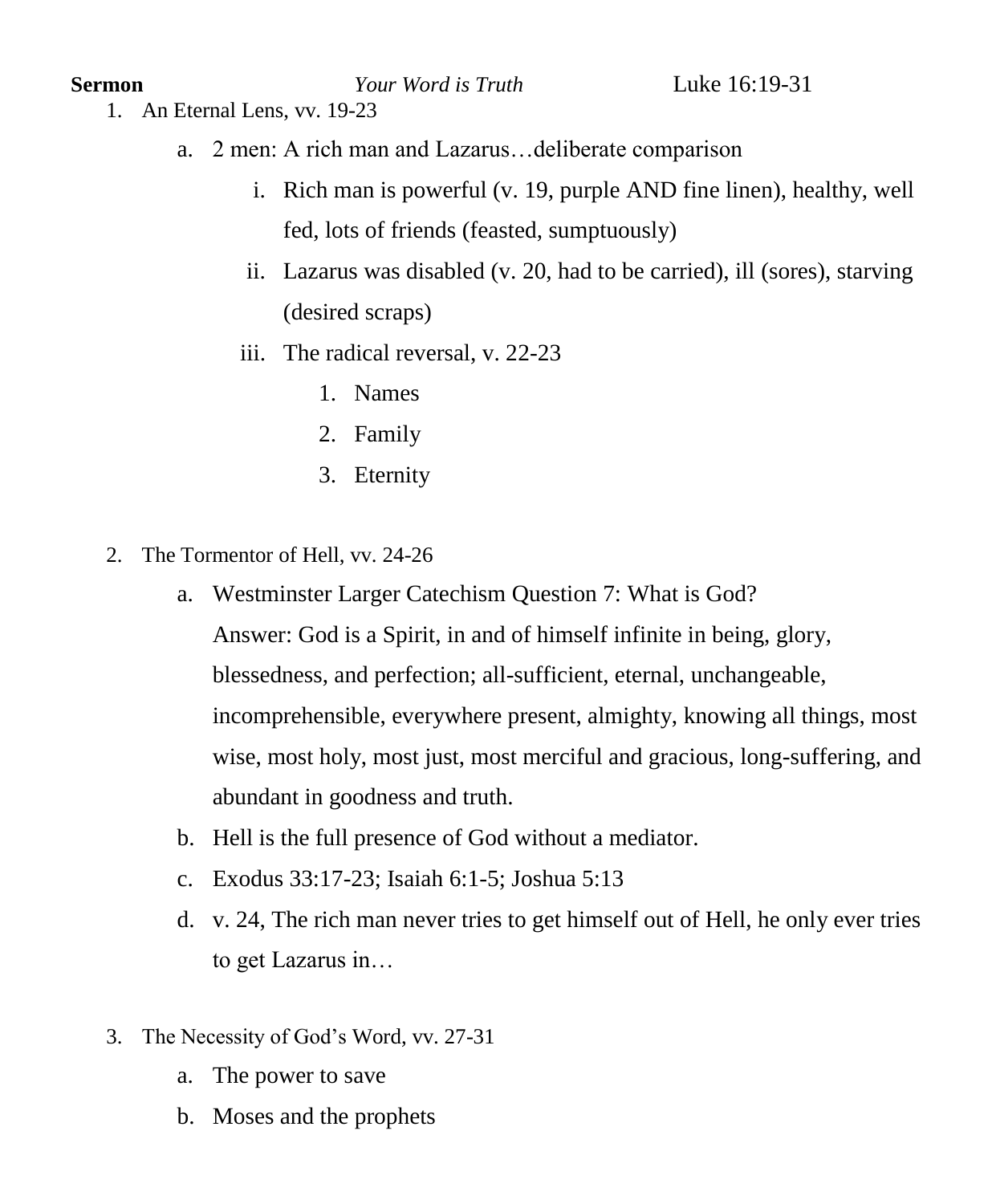**Sermon** *Your Word is Truth* Luke 16:19-31

- 1. An Eternal Lens, vv. 19-23
	- a. 2 men: A rich man and Lazarus…deliberate comparison
		- i. Rich man is powerful (v. 19, purple AND fine linen), healthy, well fed, lots of friends (feasted, sumptuously)
		- ii. Lazarus was disabled (v. 20, had to be carried), ill (sores), starving (desired scraps)
		- iii. The radical reversal, v. 22-23
			- 1. Names
			- 2. Family
			- 3. Eternity
- 2. The Tormentor of Hell, vv. 24-26
	- a. Westminster Larger Catechism Question 7: What is God? Answer: God is a Spirit, in and of himself infinite in being, glory, blessedness, and perfection; all-sufficient, eternal, unchangeable, incomprehensible, everywhere present, almighty, knowing all things, most wise, most holy, most just, most merciful and gracious, long-suffering, and abundant in goodness and truth.
	- b. Hell is the full presence of God without a mediator.
	- c. Exodus 33:17-23; Isaiah 6:1-5; Joshua 5:13
	- d. v. 24, The rich man never tries to get himself out of Hell, he only ever tries to get Lazarus in…
- 3. The Necessity of God's Word, vv. 27-31
	- a. The power to save
	- b. Moses and the prophets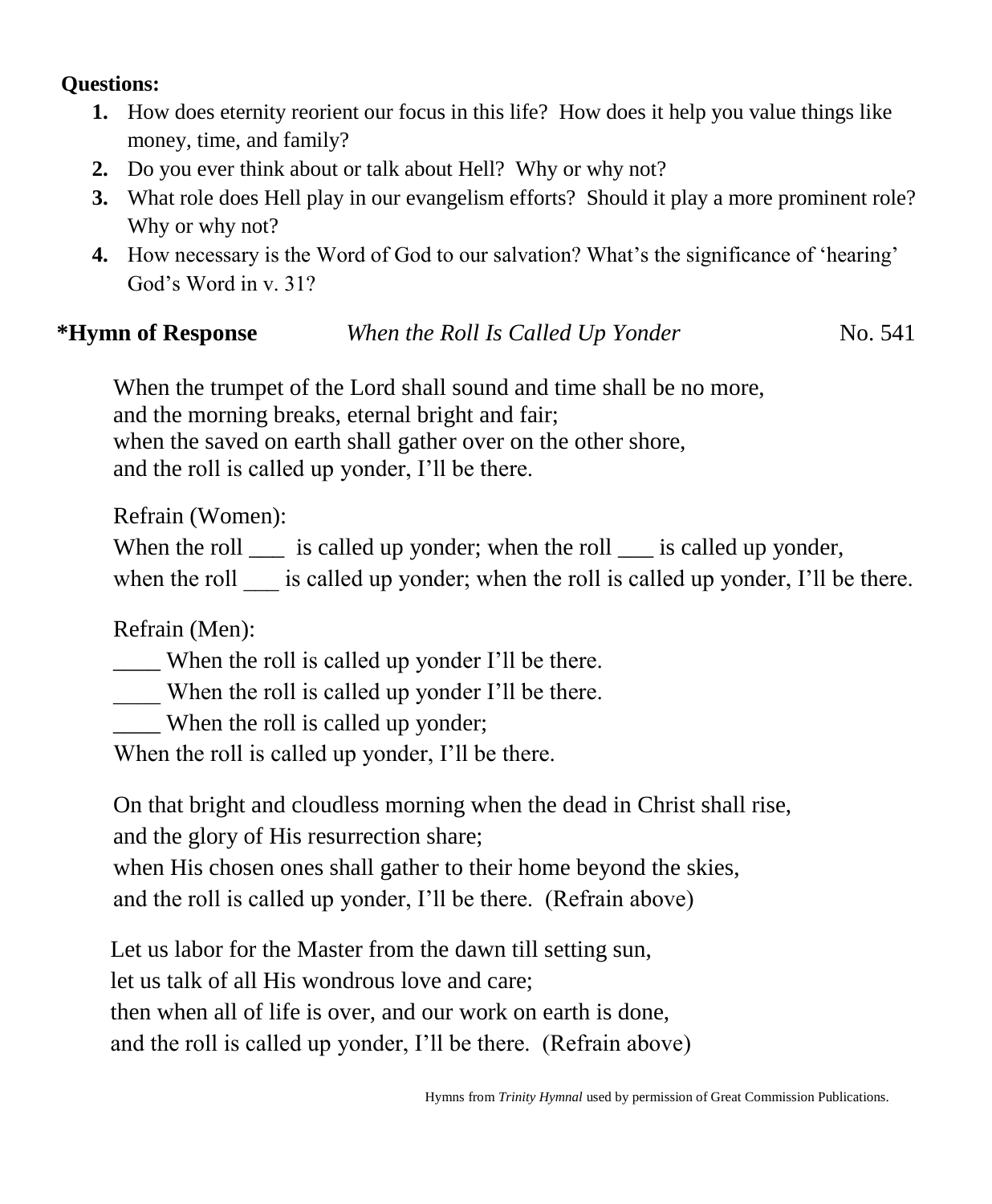#### **Questions:**

- **1.** How does eternity reorient our focus in this life? How does it help you value things like money, time, and family?
- **2.** Do you ever think about or talk about Hell? Why or why not?
- **3.** What role does Hell play in our evangelism efforts? Should it play a more prominent role? Why or why not?
- **4.** How necessary is the Word of God to our salvation? What's the significance of 'hearing' God's Word in v. 31?

# **\*Hymn of Response** *When the Roll Is Called Up Yonder*No. 541

When the trumpet of the Lord shall sound and time shall be no more, and the morning breaks, eternal bright and fair; when the saved on earth shall gather over on the other shore, and the roll is called up yonder, I'll be there.

Refrain (Women):

When the roll  $\equiv$  is called up yonder; when the roll  $\equiv$  is called up yonder, when the roll is called up yonder; when the roll is called up yonder, I'll be there.

Refrain (Men):

\_\_\_\_ When the roll is called up yonder I'll be there.

\_\_\_\_ When the roll is called up yonder I'll be there.

When the roll is called up yonder;

When the roll is called up yonder, I'll be there.

On that bright and cloudless morning when the dead in Christ shall rise,

and the glory of His resurrection share;

when His chosen ones shall gather to their home beyond the skies,

and the roll is called up yonder, I'll be there. (Refrain above)

Let us labor for the Master from the dawn till setting sun,

let us talk of all His wondrous love and care;

then when all of life is over, and our work on earth is done,

and the roll is called up yonder, I'll be there. (Refrain above)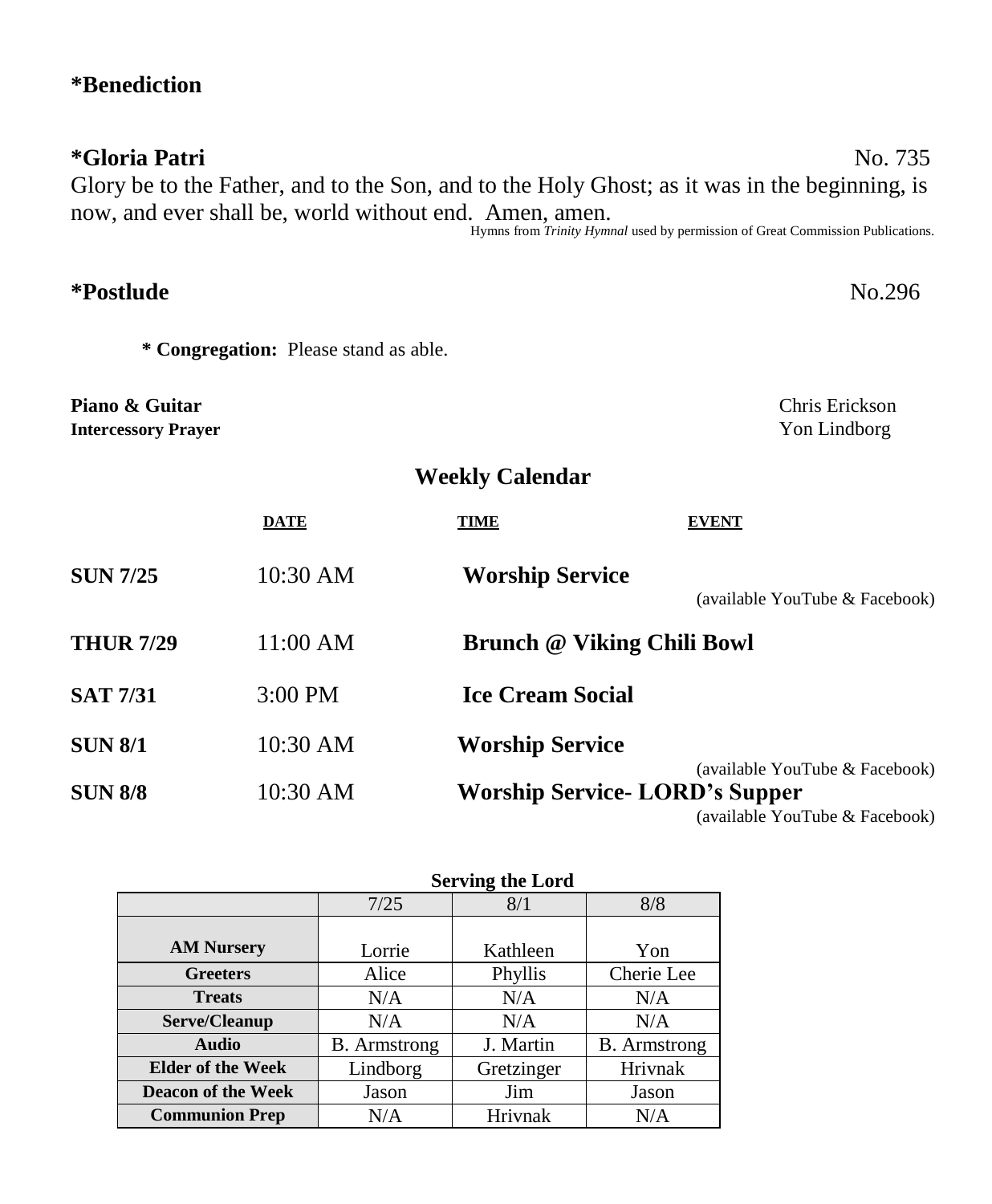# **\*Benediction**

# **\*Gloria Patri** No. 735 Glory be to the Father, and to the Son, and to the Holy Ghost; as it was in the beginning, is now, and ever shall be, world without end. Amen, amen.

Hymns from *Trinity Hymnal* used by permission of Great Commission Publications.

| <i>*Postlude</i>                             |                                       | No.296                                |                                                                                                                         |  |
|----------------------------------------------|---------------------------------------|---------------------------------------|-------------------------------------------------------------------------------------------------------------------------|--|
|                                              | * Congregation: Please stand as able. |                                       |                                                                                                                         |  |
| Piano & Guitar<br><b>Intercessory Prayer</b> |                                       |                                       | Chris Erickson<br>Yon Lindborg                                                                                          |  |
|                                              |                                       | <b>Weekly Calendar</b>                |                                                                                                                         |  |
|                                              | <b>DATE</b>                           | <b>TIME</b>                           | <b>EVENT</b>                                                                                                            |  |
| <b>SUN 7/25</b>                              | 10:30 AM                              | <b>Worship Service</b>                | (available YouTube & Facebook)                                                                                          |  |
| <b>THUR 7/29</b>                             | 11:00 AM                              | <b>Brunch @ Viking Chili Bowl</b>     |                                                                                                                         |  |
| <b>SAT 7/31</b>                              | 3:00 PM                               | <b>Ice Cream Social</b>               |                                                                                                                         |  |
| <b>SUN 8/1</b>                               | 10:30 AM                              | <b>Worship Service</b>                |                                                                                                                         |  |
| <b>SUN 8/8</b>                               | 10:30 AM                              | <b>Worship Service- LORD's Supper</b> | (available YouTube & Facebook)<br>$\ell$ = = = :1 = 1.1 = $\Delta Z$ = = -T = 1. = 0. $\Gamma$ = = -1. = = 1. $\lambda$ |  |

(available YouTube & Facebook)

|                           | <b>Serving the Lord</b> |            |                     |
|---------------------------|-------------------------|------------|---------------------|
|                           | 7/25                    | 8/1        | 8/8                 |
| <b>AM Nursery</b>         | Lorrie                  | Kathleen   | Yon                 |
| <b>Greeters</b>           | Alice                   | Phyllis    | Cherie Lee          |
| <b>Treats</b>             | N/A                     | N/A        | N/A                 |
| Serve/Cleanup             | N/A                     | N/A        | N/A                 |
| <b>Audio</b>              | <b>B.</b> Armstrong     | J. Martin  | <b>B.</b> Armstrong |
| <b>Elder of the Week</b>  | Lindborg                | Gretzinger | Hrivnak             |
| <b>Deacon of the Week</b> | Jason                   | Jim        | Jason               |
| <b>Communion Prep</b>     | N/A                     | Hrivnak    | N/A                 |